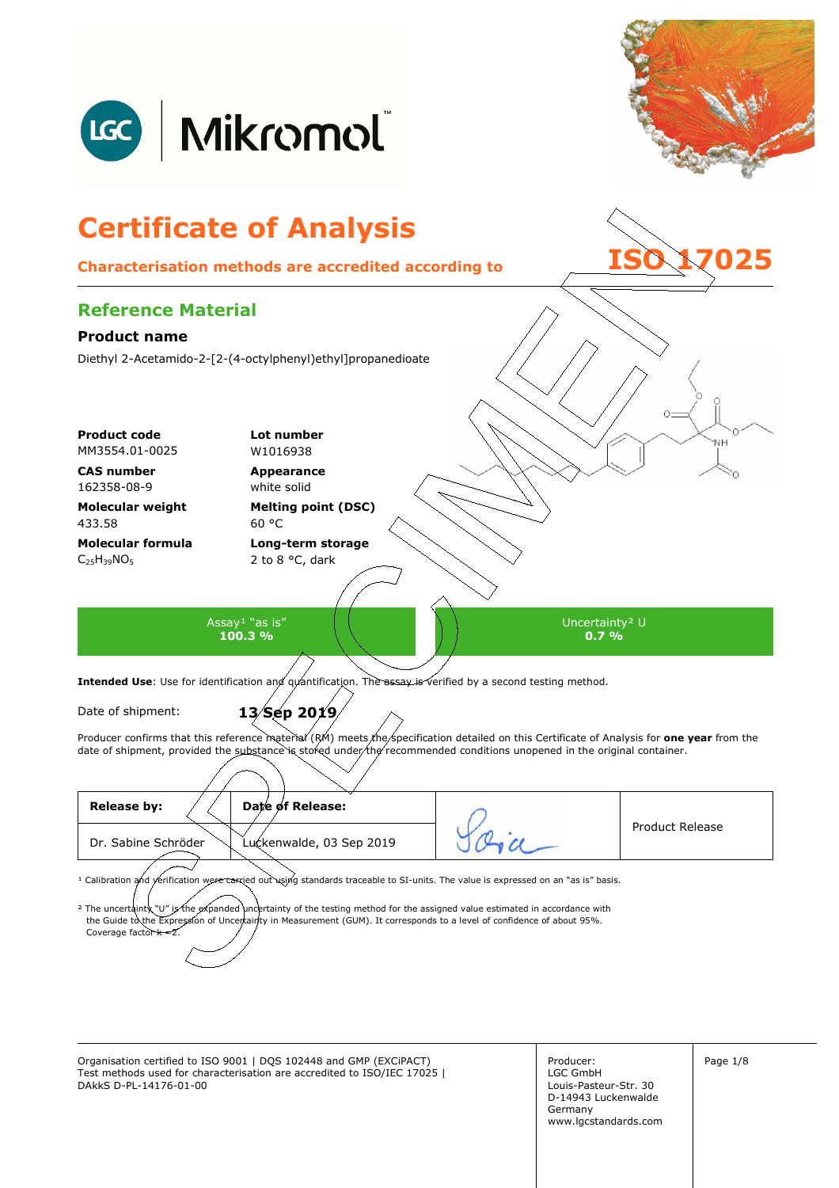

Organisation certified to ISO 9001 | DQS 102448 and GMP (EXCiPACT) Producer: Page 1/8 Test methods used for characterisation are accredited to ISO/IEC 17025 | DAkkS D-PL-14176-01-00

Producer: LGC GmbH Louis-Pasteur-Str. 30 D-14943 Luckenwalde Germany www.lgcstandards.com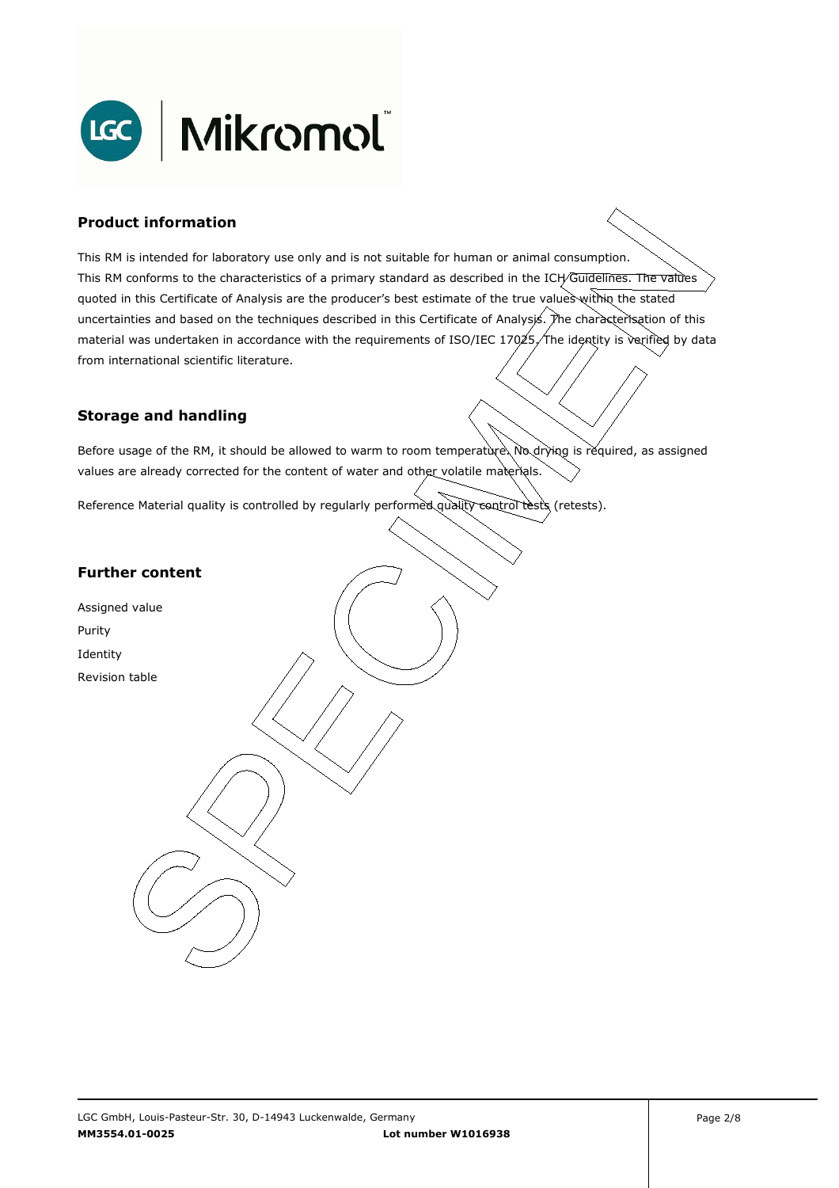

### **Product information**

This RM is intended for laboratory use only and is not suitable for human or animal consumption. This RM conforms to the characteristics of a primary standard as described in the ICH/Guidelines. The values quoted in this Certificate of Analysis are the producer's best estimate of the true values within the stated uncertainties and based on the techniques described in this Certificate of Analysis. The characterisation of this material was undertaken in accordance with the requirements of ISO/IEC 17025, The identity is verified by data . from international scientific literature.

#### **Storage and handling**

Before usage of the RM, it should be allowed to warm to room temperature. No drying is required, as assigned values are already corrected for the content of water and other volatile materials.

Reference Material quality is controlled by regularly performed quality control tests (retests).

### **Further content**

Assigned value Purity Identity Revision table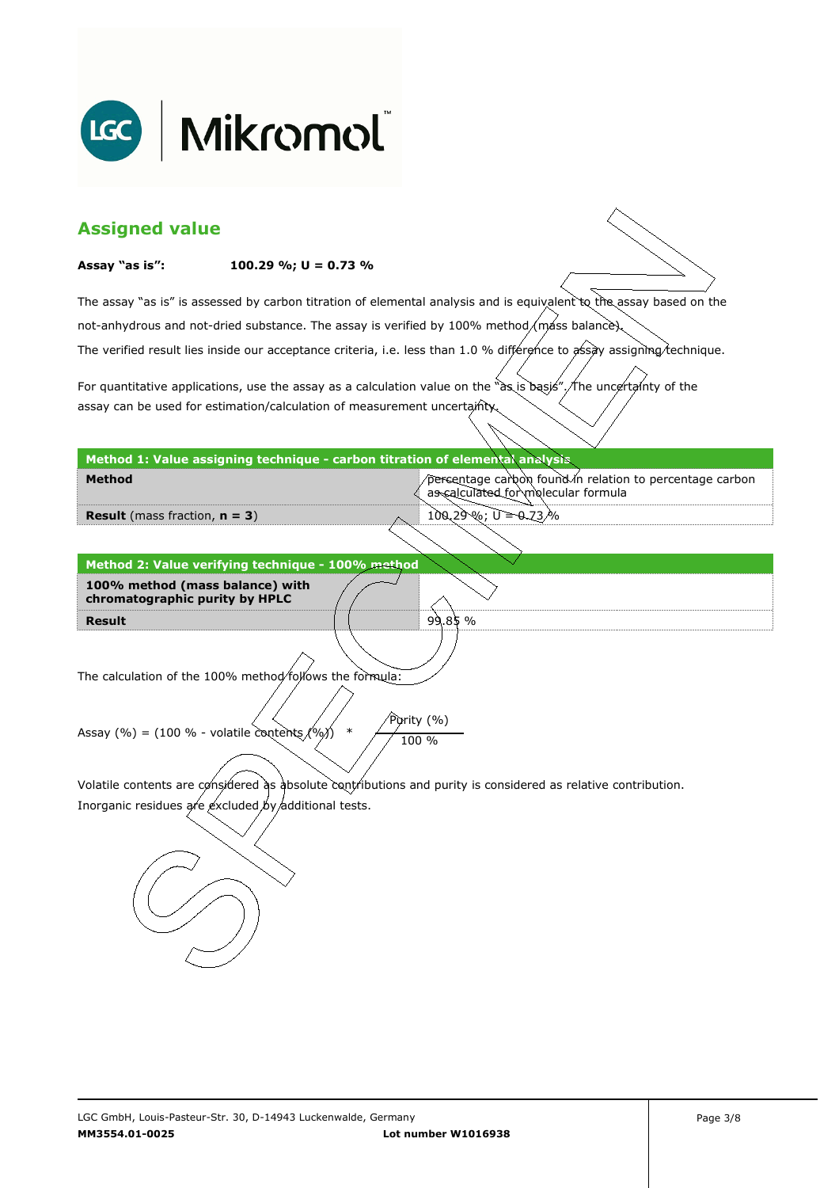

| <b>Assigned value</b>                                                                                                  |                                                                              |                                                                                                                     |  |  |
|------------------------------------------------------------------------------------------------------------------------|------------------------------------------------------------------------------|---------------------------------------------------------------------------------------------------------------------|--|--|
| Assay "as is":                                                                                                         | 100.29 %; $U = 0.73$ %                                                       |                                                                                                                     |  |  |
|                                                                                                                        |                                                                              | The assay "as is" is assessed by carbon titration of elemental analysis and is equivalent to the assay based on the |  |  |
|                                                                                                                        |                                                                              | not-anhydrous and not-dried substance. The assay is verified by 100% method/máss balance).                          |  |  |
| The verified result lies inside our acceptance criteria, i.e. less than 1.0 % différence to assay assigning technique. |                                                                              |                                                                                                                     |  |  |
|                                                                                                                        |                                                                              | For quantitative applications, use the assay as a calculation value on the "as is basis". The uncertainty of the    |  |  |
|                                                                                                                        | assay can be used for estimation/calculation of measurement uncertainty.     |                                                                                                                     |  |  |
|                                                                                                                        | Method 1: Value assigning technique - carbon titration of elemental analysis |                                                                                                                     |  |  |
| <b>Method</b>                                                                                                          |                                                                              | percentage carbon found in relation to percentage carbon<br>as calculated for molecular formula                     |  |  |
| <b>Result</b> (mass fraction, $n = 3$ )                                                                                |                                                                              | $100,29\%$ ; $U = 0.73\%$                                                                                           |  |  |
|                                                                                                                        |                                                                              |                                                                                                                     |  |  |
|                                                                                                                        | Method 2: Value verifying technique - 100% method                            |                                                                                                                     |  |  |
| 100% method (mass balance) with<br>chromatographic purity by HPLC                                                      |                                                                              |                                                                                                                     |  |  |
| <b>Result</b>                                                                                                          |                                                                              | 99.85%                                                                                                              |  |  |
|                                                                                                                        |                                                                              |                                                                                                                     |  |  |
|                                                                                                                        |                                                                              |                                                                                                                     |  |  |
| The calculation of the 100% method/follows the formula:                                                                |                                                                              |                                                                                                                     |  |  |
|                                                                                                                        |                                                                              |                                                                                                                     |  |  |
| Purity (%)<br>$\ast$<br>Assay (%) = (100 % - volatile contents $(%)$<br>100 %                                          |                                                                              |                                                                                                                     |  |  |
|                                                                                                                        |                                                                              |                                                                                                                     |  |  |
| Volatile contents are considered as absolute contributions and purity is considered as relative contribution.          |                                                                              |                                                                                                                     |  |  |
| Inorganic residues are excluded by additional tests.                                                                   |                                                                              |                                                                                                                     |  |  |
|                                                                                                                        |                                                                              |                                                                                                                     |  |  |
|                                                                                                                        |                                                                              |                                                                                                                     |  |  |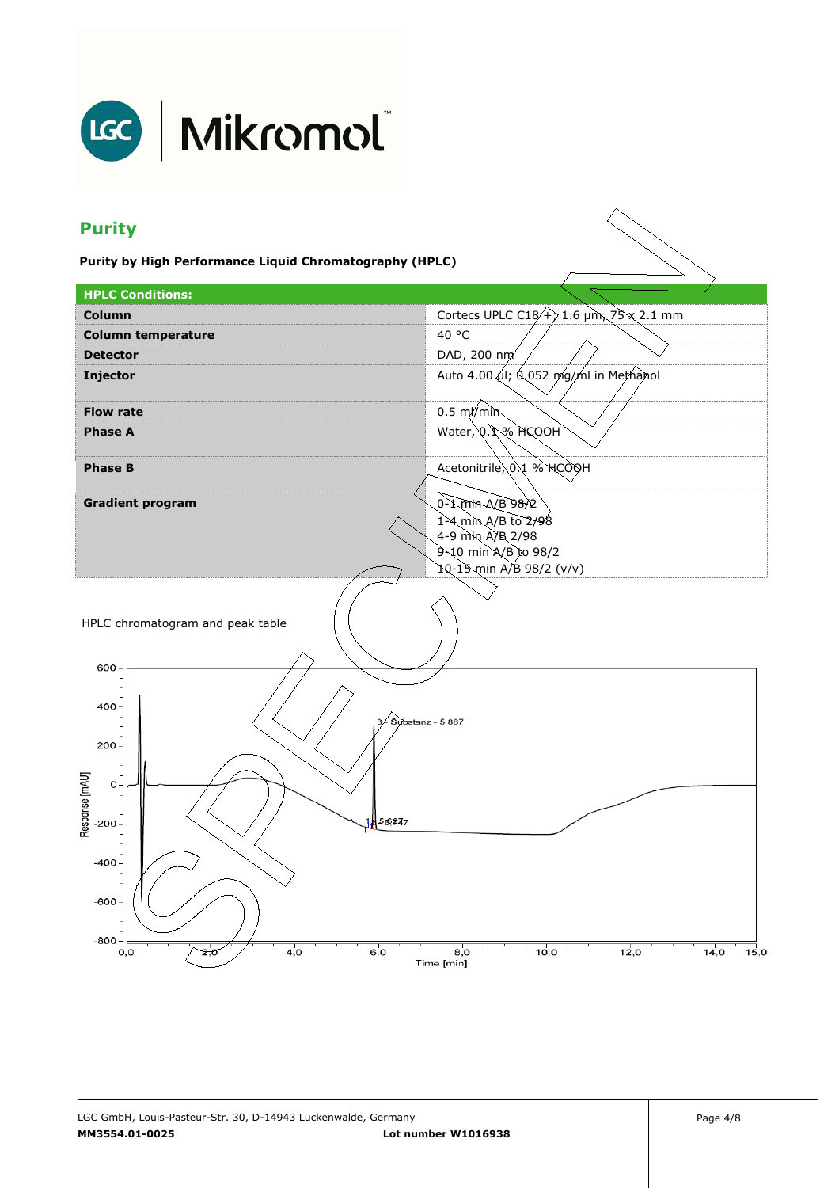

# LGC | Mikromol

## **Purity**

**Purity by High Performance Liquid Chromatography (HPLC)** 

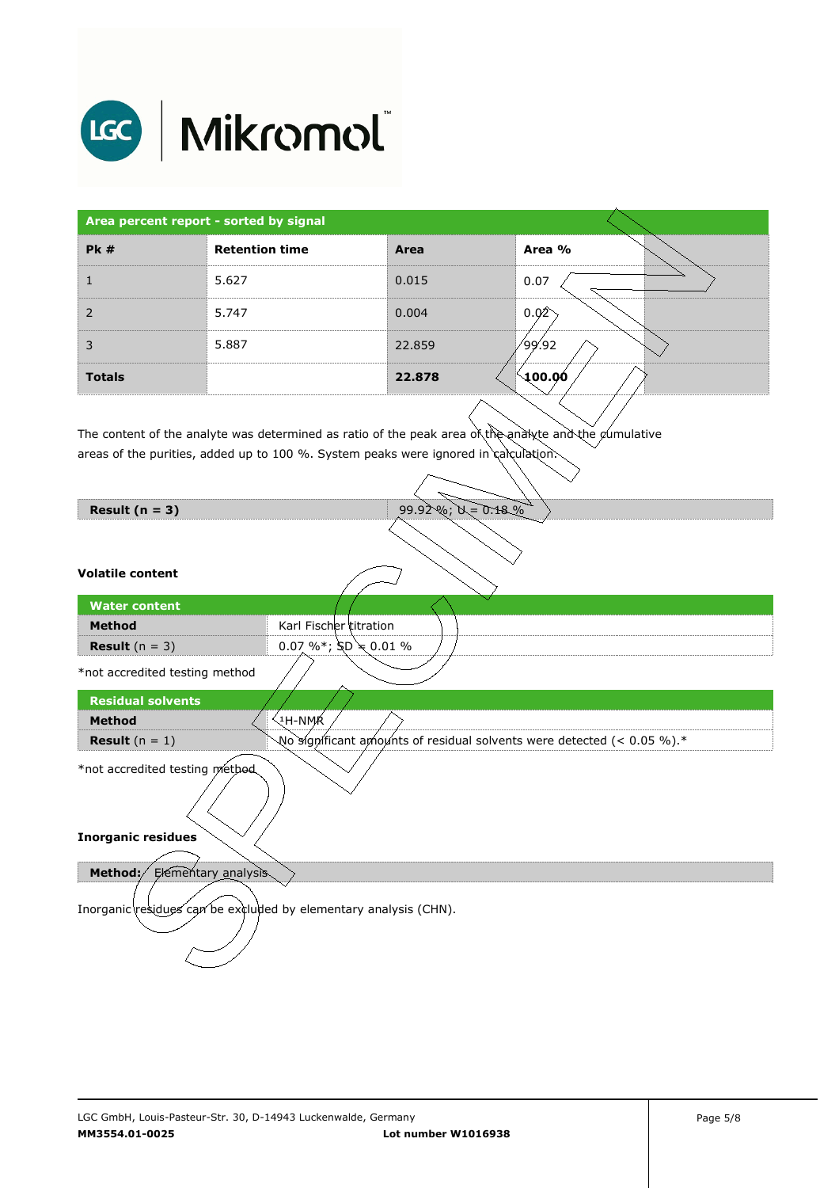

| Area percent report - sorted by signal |                       |        |                     |
|----------------------------------------|-----------------------|--------|---------------------|
| Pk#                                    | <b>Retention time</b> | Area   | Area %              |
|                                        | 5.627                 | 0.015  | 0.07                |
| 2                                      | 5.747                 | 0.004  | 0.02                |
| 3                                      | 5.887                 | 22.859 | 99.92/              |
| <b>Totals</b>                          |                       | 22.878 | $\backslash$ 100.00 |

The content of the analyte was determined as ratio of the peak area of the analyte and the cumulative  $\overline{\phantom{a}}$ areas of the purities, added up to 100 %. System peaks were ignored in calculation.

| Result $(n = 3)$                                                 | $99.92\%; 0 = 0.18\%$                                                  |  |  |  |
|------------------------------------------------------------------|------------------------------------------------------------------------|--|--|--|
|                                                                  |                                                                        |  |  |  |
| <b>Volatile content</b>                                          |                                                                        |  |  |  |
| <b>Water content</b>                                             |                                                                        |  |  |  |
| <b>Method</b>                                                    | Karl Fischer titration                                                 |  |  |  |
| <b>Result</b> $(n = 3)$                                          | $0.07 \%$ % $SD \neq 0.01 \%$                                          |  |  |  |
| *not accredited testing method                                   |                                                                        |  |  |  |
| <b>Residual solvents</b>                                         |                                                                        |  |  |  |
| <b>Method</b>                                                    | ્મ-NMK                                                                 |  |  |  |
| <b>Result</b> $(n = 1)$                                          | No significant amounts of residual solvents were detected (< 0.05 %).* |  |  |  |
| *not accredited testing method                                   |                                                                        |  |  |  |
| <b>Inorganic residues</b>                                        |                                                                        |  |  |  |
| Elementary analysis<br>Method:/                                  |                                                                        |  |  |  |
| Inorganic residues can be excluded by elementary analysis (CHN). |                                                                        |  |  |  |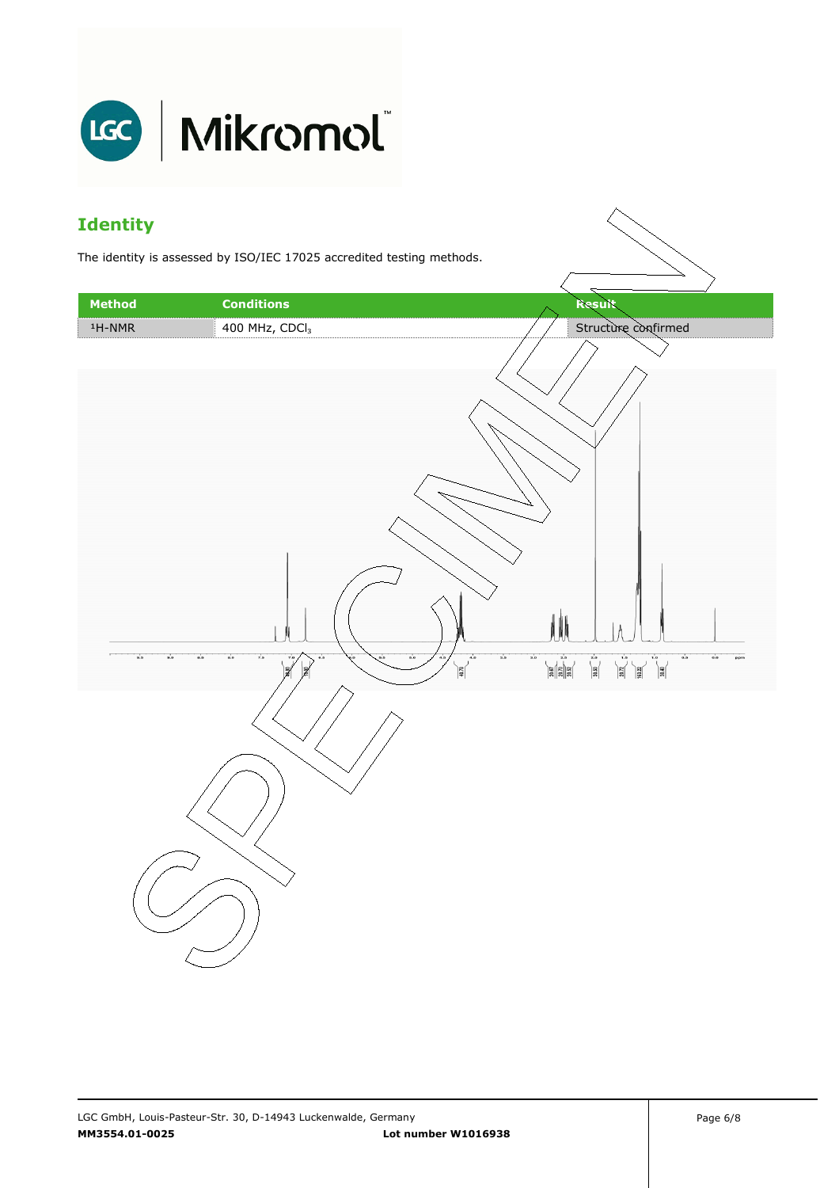

### **Identity**

The identity is assessed by ISO/IEC 17025 accredited testing methods.

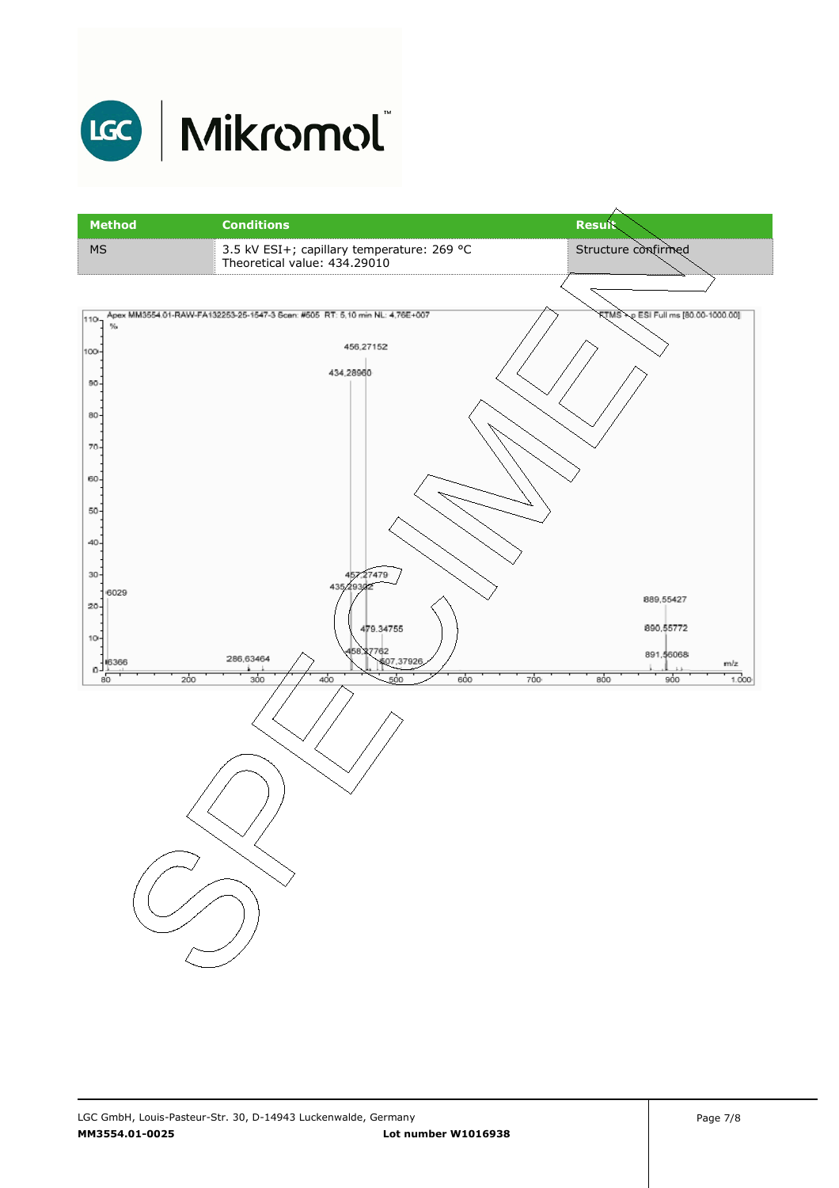

# LGC | Mikromol